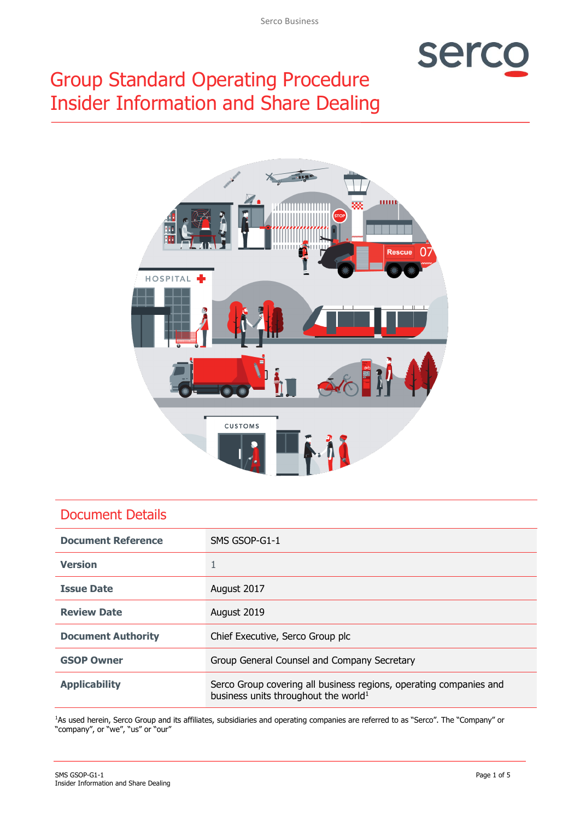

# Group Standard Operating Procedure Insider Information and Share Dealing



#### Document Details

| <b>Document Reference</b> | SMS GSOP-G1-1                                                                                                          |  |
|---------------------------|------------------------------------------------------------------------------------------------------------------------|--|
| <b>Version</b>            |                                                                                                                        |  |
| <b>Issue Date</b>         | August 2017                                                                                                            |  |
| <b>Review Date</b>        | August 2019                                                                                                            |  |
| <b>Document Authority</b> | Chief Executive, Serco Group plc                                                                                       |  |
| <b>GSOP Owner</b>         | Group General Counsel and Company Secretary                                                                            |  |
| <b>Applicability</b>      | Serco Group covering all business regions, operating companies and<br>business units throughout the world <sup>1</sup> |  |

<sup>1</sup>As used herein, Serco Group and its affiliates, subsidiaries and operating companies are referred to as "Serco". The "Company" or "company", or "we", "us" or "our"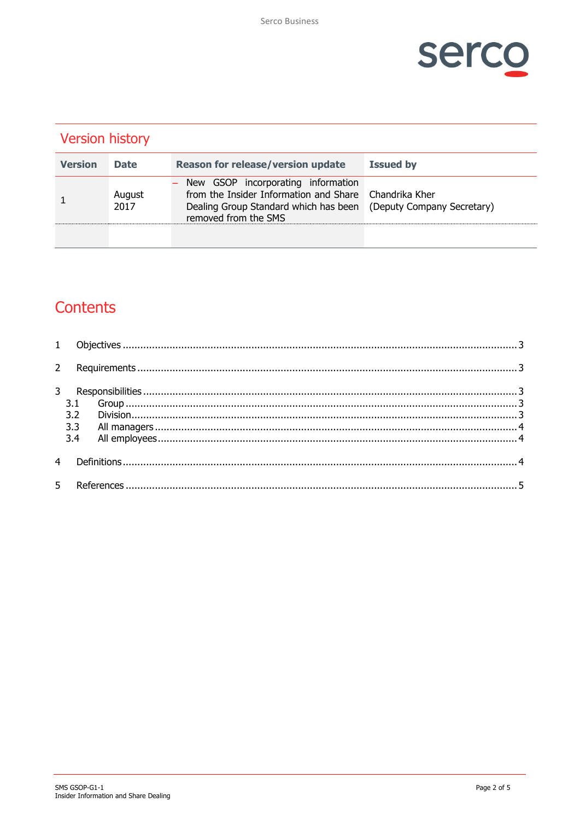

| <b>Version history</b> |                |                                                                                                                                                              |                            |  |  |
|------------------------|----------------|--------------------------------------------------------------------------------------------------------------------------------------------------------------|----------------------------|--|--|
| <b>Version</b>         | <b>Date</b>    | <b>Reason for release/version update</b>                                                                                                                     | <b>Issued by</b>           |  |  |
|                        | August<br>2017 | New GSOP incorporating information<br>from the Insider Information and Share Chandrika Kher<br>Dealing Group Standard which has been<br>removed from the SMS | (Deputy Company Secretary) |  |  |
|                        |                |                                                                                                                                                              |                            |  |  |

## Contents

| $4 \quad$      |  |
|----------------|--|
|                |  |
| 5 <sub>1</sub> |  |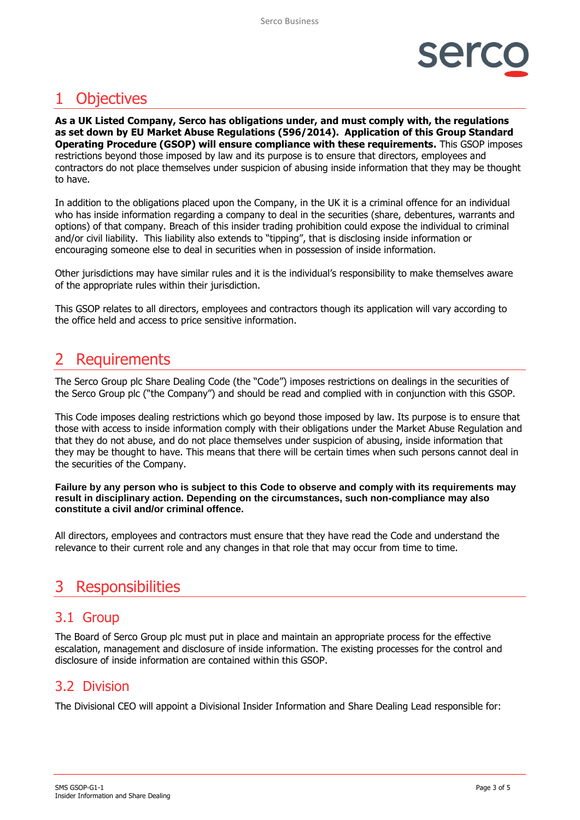

### <span id="page-2-0"></span>1 Objectives

**As a UK Listed Company, Serco has obligations under, and must comply with, the regulations as set down by EU Market Abuse Regulations (596/2014). Application of this Group Standard Operating Procedure (GSOP) will ensure compliance with these requirements.** This GSOP imposes restrictions beyond those imposed by law and its purpose is to ensure that directors, employees and contractors do not place themselves under suspicion of abusing inside information that they may be thought to have.

In addition to the obligations placed upon the Company, in the UK it is a criminal offence for an individual who has inside information regarding a company to deal in the securities (share, debentures, warrants and options) of that company. Breach of this insider trading prohibition could expose the individual to criminal and/or civil liability. This liability also extends to "tipping", that is disclosing inside information or encouraging someone else to deal in securities when in possession of inside information.

Other jurisdictions may have similar rules and it is the individual's responsibility to make themselves aware of the appropriate rules within their jurisdiction.

This GSOP relates to all directors, employees and contractors though its application will vary according to the office held and access to price sensitive information.

### <span id="page-2-1"></span>2 Requirements

The Serco Group plc Share Dealing Code (the "Code") imposes restrictions on dealings in the securities of the Serco Group plc ("the Company") and should be read and complied with in conjunction with this GSOP.

This Code imposes dealing restrictions which go beyond those imposed by law. Its purpose is to ensure that those with access to inside information comply with their obligations under the Market Abuse Regulation and that they do not abuse, and do not place themselves under suspicion of abusing, inside information that they may be thought to have. This means that there will be certain times when such persons cannot deal in the securities of the Company.

#### **Failure by any person who is subject to this Code to observe and comply with its requirements may result in disciplinary action. Depending on the circumstances, such non-compliance may also constitute a civil and/or criminal offence.**

All directors, employees and contractors must ensure that they have read the Code and understand the relevance to their current role and any changes in that role that may occur from time to time.

### <span id="page-2-2"></span>3 Responsibilities

### <span id="page-2-3"></span>3.1 Group

The Board of Serco Group plc must put in place and maintain an appropriate process for the effective escalation, management and disclosure of inside information. The existing processes for the control and disclosure of inside information are contained within this GSOP.

### <span id="page-2-4"></span>3.2 Division

The Divisional CEO will appoint a Divisional Insider Information and Share Dealing Lead responsible for: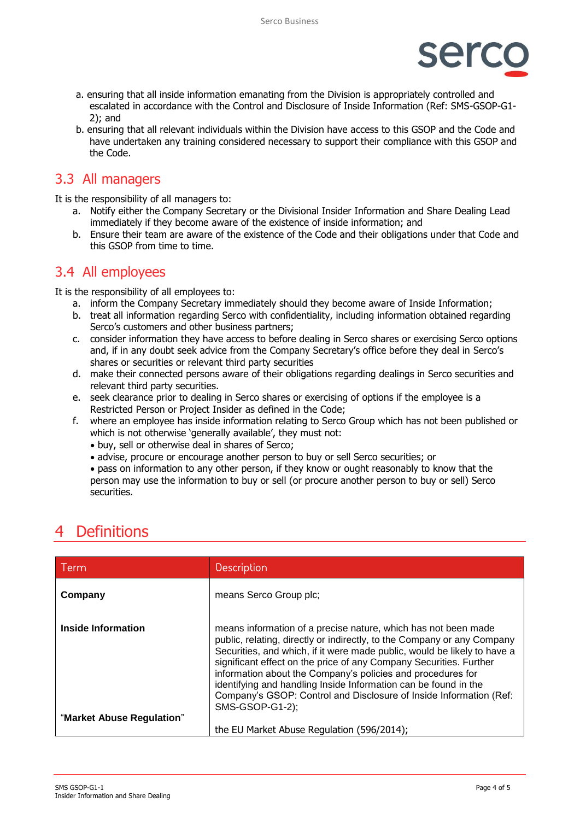

- a. ensuring that all inside information emanating from the Division is appropriately controlled and escalated in accordance with the Control and Disclosure of Inside Information (Ref: SMS-GSOP-G1- 2); and
- b. ensuring that all relevant individuals within the Division have access to this GSOP and the Code and have undertaken any training considered necessary to support their compliance with this GSOP and the Code.

#### <span id="page-3-0"></span>3.3 All managers

It is the responsibility of all managers to:

- a. Notify either the Company Secretary or the Divisional Insider Information and Share Dealing Lead immediately if they become aware of the existence of inside information; and
- b. Ensure their team are aware of the existence of the Code and their obligations under that Code and this GSOP from time to time.

#### <span id="page-3-1"></span>3.4 All employees

It is the responsibility of all employees to:

- a. inform the Company Secretary immediately should they become aware of Inside Information;
- b. treat all information regarding Serco with confidentiality, including information obtained regarding Serco's customers and other business partners;
- c. consider information they have access to before dealing in Serco shares or exercising Serco options and, if in any doubt seek advice from the Company Secretary's office before they deal in Serco's shares or securities or relevant third party securities
- d. make their connected persons aware of their obligations regarding dealings in Serco securities and relevant third party securities.
- e. seek clearance prior to dealing in Serco shares or exercising of options if the employee is a Restricted Person or Project Insider as defined in the Code;
- f. where an employee has inside information relating to Serco Group which has not been published or which is not otherwise 'generally available', they must not:
	- buy, sell or otherwise deal in shares of Serco;
	- advise, procure or encourage another person to buy or sell Serco securities; or
	- pass on information to any other person, if they know or ought reasonably to know that the person may use the information to buy or sell (or procure another person to buy or sell) Serco securities.

### <span id="page-3-2"></span>**Definitions**

| Term                                            | <b>Description</b>                                                                                                                                                                                                                                                                                                                                                                                                                                                                                                     |  |
|-------------------------------------------------|------------------------------------------------------------------------------------------------------------------------------------------------------------------------------------------------------------------------------------------------------------------------------------------------------------------------------------------------------------------------------------------------------------------------------------------------------------------------------------------------------------------------|--|
| Company                                         | means Serco Group plc;                                                                                                                                                                                                                                                                                                                                                                                                                                                                                                 |  |
| Inside Information<br>"Market Abuse Regulation" | means information of a precise nature, which has not been made<br>public, relating, directly or indirectly, to the Company or any Company<br>Securities, and which, if it were made public, would be likely to have a<br>significant effect on the price of any Company Securities. Further<br>information about the Company's policies and procedures for<br>identifying and handling Inside Information can be found in the<br>Company's GSOP: Control and Disclosure of Inside Information (Ref:<br>SMS-GSOP-G1-2); |  |
|                                                 | the EU Market Abuse Regulation (596/2014);                                                                                                                                                                                                                                                                                                                                                                                                                                                                             |  |